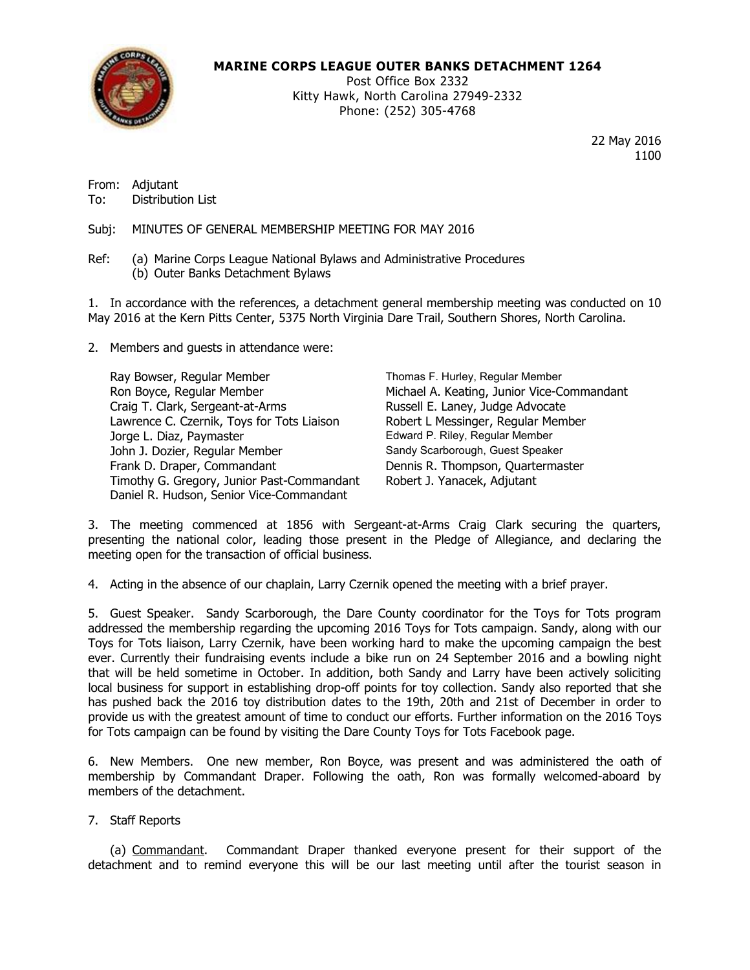

## **MARINE CORPS LEAGUE OUTER BANKS DETACHMENT 1264**

Post Office Box 2332 Kitty Hawk, North Carolina 27949-2332 Phone: (252) 305-4768

> 22 May 2016 1100

From: Adjutant To: Distribution List

Subj: MINUTES OF GENERAL MEMBERSHIP MEETING FOR MAY 2016

Ref: (a) Marine Corps League National Bylaws and Administrative Procedures (b) Outer Banks Detachment Bylaws

1. In accordance with the references, a detachment general membership meeting was conducted on 10 May 2016 at the Kern Pitts Center, 5375 North Virginia Dare Trail, Southern Shores, North Carolina.

2. Members and guests in attendance were:

Ray Bowser, Regular Member Thomas F. Hurley, Regular Member Ron Boyce, Regular Member Michael A. Keating, Junior Vice-Commandant Craig T. Clark, Sergeant-at-Arms Russell E. Laney, Judge Advocate Lawrence C. Czernik, Toys for Tots Liaison Robert L Messinger, Regular Member Jorge L. Diaz, Paymaster **Edward P. Riley, Regular Member** John J. Dozier, Regular Member Sandy Scarborough, Guest Speaker Frank D. Draper, Commandant **Dennis R. Thompson, Quartermaster** Timothy G. Gregory, Junior Past-Commandant Robert J. Yanacek, Adjutant Daniel R. Hudson, Senior Vice-Commandant

3. The meeting commenced at 1856 with Sergeant-at-Arms Craig Clark securing the quarters, presenting the national color, leading those present in the Pledge of Allegiance, and declaring the meeting open for the transaction of official business.

4. Acting in the absence of our chaplain, Larry Czernik opened the meeting with a brief prayer.

5. Guest Speaker. Sandy Scarborough, the Dare County coordinator for the Toys for Tots program addressed the membership regarding the upcoming 2016 Toys for Tots campaign. Sandy, along with our Toys for Tots liaison, Larry Czernik, have been working hard to make the upcoming campaign the best ever. Currently their fundraising events include a bike run on 24 September 2016 and a bowling night that will be held sometime in October. In addition, both Sandy and Larry have been actively soliciting local business for support in establishing drop-off points for toy collection. Sandy also reported that she has pushed back the 2016 toy distribution dates to the 19th, 20th and 21st of December in order to provide us with the greatest amount of time to conduct our efforts. Further information on the 2016 Toys for Tots campaign can be found by visiting the Dare County Toys for Tots Facebook page.

6. New Members. One new member, Ron Boyce, was present and was administered the oath of membership by Commandant Draper. Following the oath, Ron was formally welcomed-aboard by members of the detachment.

7. Staff Reports

(a) Commandant. Commandant Draper thanked everyone present for their support of the detachment and to remind everyone this will be our last meeting until after the tourist season in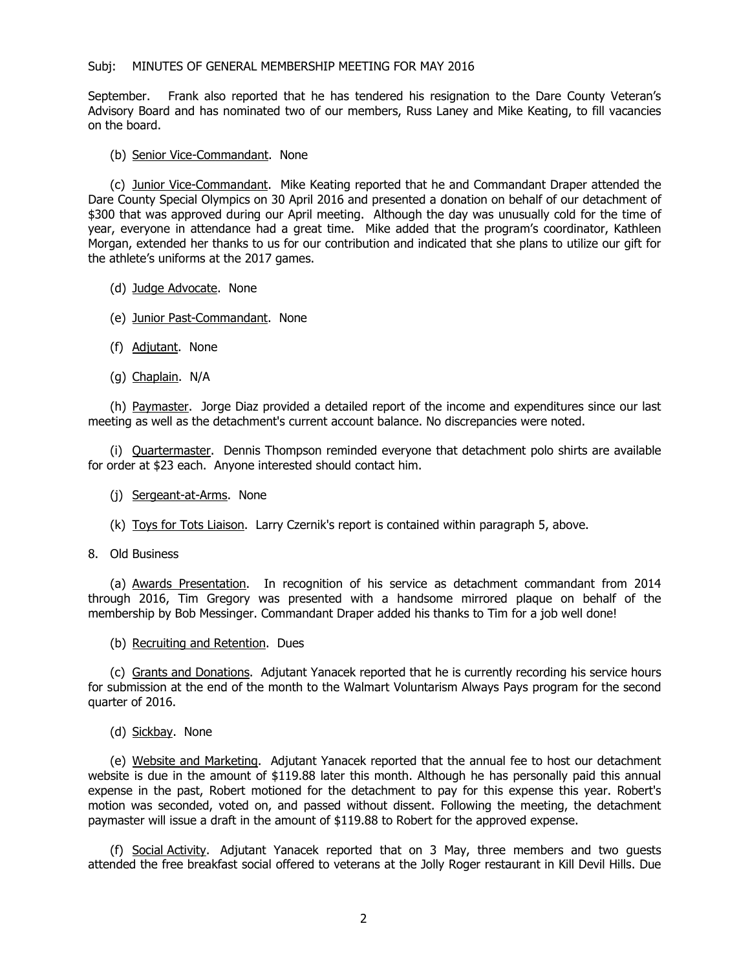## Subj: MINUTES OF GENERAL MEMBERSHIP MEETING FOR MAY 2016

September. Frank also reported that he has tendered his resignation to the Dare County Veteran's Advisory Board and has nominated two of our members, Russ Laney and Mike Keating, to fill vacancies on the board.

## (b) Senior Vice-Commandant. None

(c) Junior Vice-Commandant. Mike Keating reported that he and Commandant Draper attended the Dare County Special Olympics on 30 April 2016 and presented a donation on behalf of our detachment of \$300 that was approved during our April meeting. Although the day was unusually cold for the time of year, everyone in attendance had a great time. Mike added that the program's coordinator, Kathleen Morgan, extended her thanks to us for our contribution and indicated that she plans to utilize our gift for the athlete's uniforms at the 2017 games.

- (d) Judge Advocate. None
- (e) Junior Past-Commandant. None
- (f) Adjutant. None
- (g) Chaplain. N/A

(h) Paymaster. Jorge Diaz provided a detailed report of the income and expenditures since our last meeting as well as the detachment's current account balance. No discrepancies were noted.

(i) Quartermaster. Dennis Thompson reminded everyone that detachment polo shirts are available for order at \$23 each. Anyone interested should contact him.

- (j) Sergeant-at-Arms. None
- (k) Toys for Tots Liaison. Larry Czernik's report is contained within paragraph 5, above.
- 8. Old Business

(a) Awards Presentation. In recognition of his service as detachment commandant from 2014 through 2016, Tim Gregory was presented with a handsome mirrored plaque on behalf of the membership by Bob Messinger. Commandant Draper added his thanks to Tim for a job well done!

(b) Recruiting and Retention. Dues

(c) Grants and Donations. Adjutant Yanacek reported that he is currently recording his service hours for submission at the end of the month to the Walmart Voluntarism Always Pays program for the second quarter of 2016.

(d) Sickbay. None

(e) Website and Marketing. Adjutant Yanacek reported that the annual fee to host our detachment website is due in the amount of \$119.88 later this month. Although he has personally paid this annual expense in the past, Robert motioned for the detachment to pay for this expense this year. Robert's motion was seconded, voted on, and passed without dissent. Following the meeting, the detachment paymaster will issue a draft in the amount of \$119.88 to Robert for the approved expense.

(f) Social Activity. Adjutant Yanacek reported that on 3 May, three members and two guests attended the free breakfast social offered to veterans at the Jolly Roger restaurant in Kill Devil Hills. Due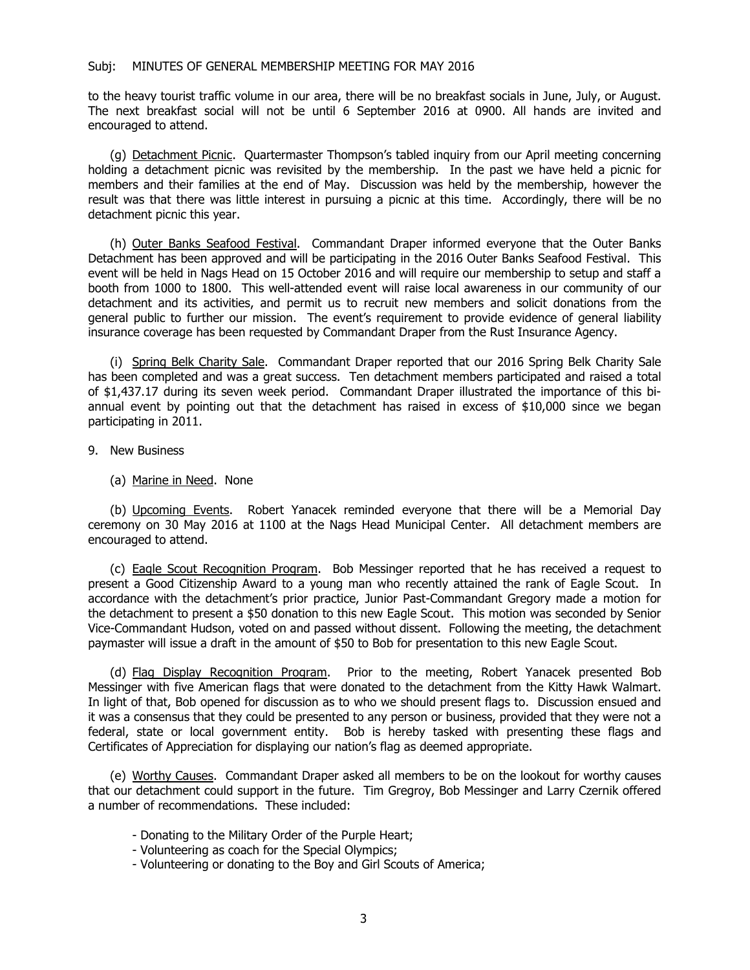to the heavy tourist traffic volume in our area, there will be no breakfast socials in June, July, or August. The next breakfast social will not be until 6 September 2016 at 0900. All hands are invited and encouraged to attend.

(g) Detachment Picnic. Quartermaster Thompson's tabled inquiry from our April meeting concerning holding a detachment picnic was revisited by the membership. In the past we have held a picnic for members and their families at the end of May. Discussion was held by the membership, however the result was that there was little interest in pursuing a picnic at this time. Accordingly, there will be no detachment picnic this year.

(h) Outer Banks Seafood Festival. Commandant Draper informed everyone that the Outer Banks Detachment has been approved and will be participating in the 2016 Outer Banks Seafood Festival. This event will be held in Nags Head on 15 October 2016 and will require our membership to setup and staff a booth from 1000 to 1800. This well-attended event will raise local awareness in our community of our detachment and its activities, and permit us to recruit new members and solicit donations from the general public to further our mission. The event's requirement to provide evidence of general liability insurance coverage has been requested by Commandant Draper from the Rust Insurance Agency.

(i) Spring Belk Charity Sale. Commandant Draper reported that our 2016 Spring Belk Charity Sale has been completed and was a great success. Ten detachment members participated and raised a total of \$1,437.17 during its seven week period. Commandant Draper illustrated the importance of this biannual event by pointing out that the detachment has raised in excess of \$10,000 since we began participating in 2011.

- 9. New Business
	- (a) Marine in Need. None

(b) Upcoming Events. Robert Yanacek reminded everyone that there will be a Memorial Day ceremony on 30 May 2016 at 1100 at the Nags Head Municipal Center. All detachment members are encouraged to attend.

(c) Eagle Scout Recognition Program. Bob Messinger reported that he has received a request to present a Good Citizenship Award to a young man who recently attained the rank of Eagle Scout. In accordance with the detachment's prior practice, Junior Past-Commandant Gregory made a motion for the detachment to present a \$50 donation to this new Eagle Scout. This motion was seconded by Senior Vice-Commandant Hudson, voted on and passed without dissent. Following the meeting, the detachment paymaster will issue a draft in the amount of \$50 to Bob for presentation to this new Eagle Scout.

(d) Flag Display Recognition Program. Prior to the meeting, Robert Yanacek presented Bob Messinger with five American flags that were donated to the detachment from the Kitty Hawk Walmart. In light of that, Bob opened for discussion as to who we should present flags to. Discussion ensued and it was a consensus that they could be presented to any person or business, provided that they were not a federal, state or local government entity. Bob is hereby tasked with presenting these flags and Certificates of Appreciation for displaying our nation's flag as deemed appropriate.

(e) Worthy Causes. Commandant Draper asked all members to be on the lookout for worthy causes that our detachment could support in the future. Tim Gregroy, Bob Messinger and Larry Czernik offered a number of recommendations. These included:

- Donating to the Military Order of the Purple Heart;
- Volunteering as coach for the Special Olympics;
- Volunteering or donating to the Boy and Girl Scouts of America;